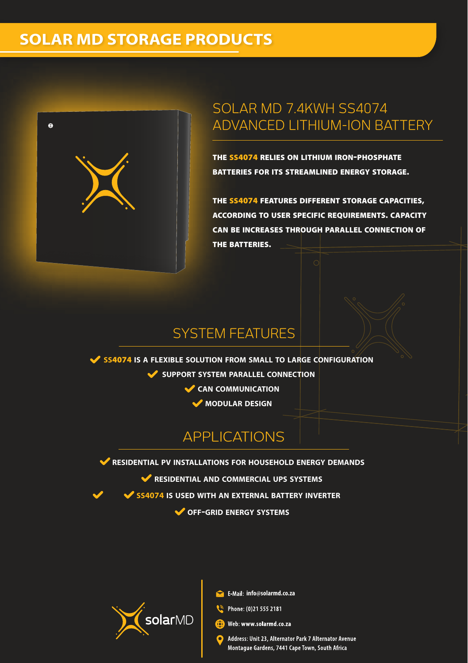# **SOLAR MD STORAGE PRODUCTS**



## SOLAR MD 7.4KWH SS4074 ADVANCED LITHIUM-ION BATTERY

THE SS4074 RELIES ON LITHIUM IRON-PHOSPHATE BATTERIES FOR ITS STREAMLINED ENERGY STORAGE.

THE SS4074 FEATURES DIFFERENT STORAGE CAPACITIES, ACCORDING TO USER SPECIFIC REQUIREMENTS. CAPACITY CAN BE INCREASES THROUGH PARALLEL CONNECTION OF THE BATTERIES.

### SYSTEM FEATURES

**SS**4074 **IS A FLEXIBLE SOLUTION FROM SMALL TO LARGE CONFIGURATION SUPPORT SYSTEM PARALLEL CONNECTION CAN COMMUNICATION MODULAR DESIGN**

# APPLICATIONS

**RESIDENTIAL PV INSTALLATIONS FOR HOUSEHOLD ENERGY DEMANDS**

**RESIDENTIAL AND COMMERCIAL UPS SYSTEMS**

**SS4074 IS USED WITH AN EXTERNAL BATTERY INVERTER**

**OFF-GRID ENERGY SYSTEMS**



**info@solarmd.co.za**

Phone: (0)21 555 2181

**OD** Web: www.solarmd.co.za

Address: Unit 23, Alternator Park 7 Alternator Avenue Montague Gardens, 7441 Cape Town, South Africa